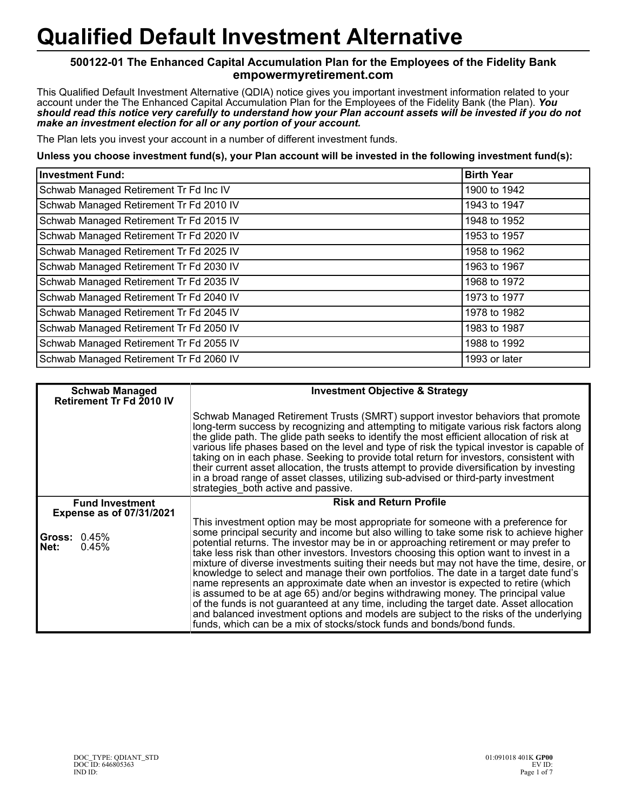## **Qualified Default Investment Alternative**

## **500122-01 The Enhanced Capital Accumulation Plan for the Employees of the Fidelity Bank empowermyretirement.com**

This Qualified Default Investment Alternative (QDIA) notice gives you important investment information related to your account under the The Enhanced Capital Accumulation Plan for the Employees of the Fidelity Bank (the Plan). *You should read this notice very carefully to understand how your Plan account assets will be invested if you do not make an investment election for all or any portion of your account.*

The Plan lets you invest your account in a number of different investment funds.

## **Unless you choose investment fund(s), your Plan account will be invested in the following investment fund(s):**

| <b>Investment Fund:</b>                 | <b>Birth Year</b> |
|-----------------------------------------|-------------------|
| Schwab Managed Retirement Tr Fd Inc IV  | 1900 to 1942      |
| Schwab Managed Retirement Tr Fd 2010 IV | 1943 to 1947      |
| Schwab Managed Retirement Tr Fd 2015 IV | 1948 to 1952      |
| Schwab Managed Retirement Tr Fd 2020 IV | 1953 to 1957      |
| Schwab Managed Retirement Tr Fd 2025 IV | 1958 to 1962      |
| Schwab Managed Retirement Tr Fd 2030 IV | 1963 to 1967      |
| Schwab Managed Retirement Tr Fd 2035 IV | 1968 to 1972      |
| Schwab Managed Retirement Tr Fd 2040 IV | 1973 to 1977      |
| Schwab Managed Retirement Tr Fd 2045 IV | 1978 to 1982      |
| Schwab Managed Retirement Tr Fd 2050 IV | 1983 to 1987      |
| Schwab Managed Retirement Tr Fd 2055 IV | 1988 to 1992      |
| Schwab Managed Retirement Tr Fd 2060 IV | 1993 or later     |

| <b>Schwab Managed</b><br>Retirement Tr Fd 2010 IV         | <b>Investment Objective &amp; Strategy</b>                                                                                                                                                                                                                                                                                                                                                                                                                                                                                                                                                                                                                                                                                                                                                                                                                                                                                                                                                |
|-----------------------------------------------------------|-------------------------------------------------------------------------------------------------------------------------------------------------------------------------------------------------------------------------------------------------------------------------------------------------------------------------------------------------------------------------------------------------------------------------------------------------------------------------------------------------------------------------------------------------------------------------------------------------------------------------------------------------------------------------------------------------------------------------------------------------------------------------------------------------------------------------------------------------------------------------------------------------------------------------------------------------------------------------------------------|
|                                                           | Schwab Managed Retirement Trusts (SMRT) support investor behaviors that promote<br>long-term success by recognizing and attempting to mitigate various risk factors along<br>the glide path. The glide path seeks to identify the most efficient allocation of risk at<br>various life phases based on the level and type of risk the typical investor is capable of<br>taking on in each phase. Seeking to provide total return for investors, consistent with<br>their current asset allocation, the trusts attempt to provide diversification by investing<br>in a broad range of asset classes, utilizing sub-advised or third-party investment<br>strategies both active and passive.                                                                                                                                                                                                                                                                                                |
| <b>Fund Investment</b><br><b>Expense as of 07/31/2021</b> | <b>Risk and Return Profile</b>                                                                                                                                                                                                                                                                                                                                                                                                                                                                                                                                                                                                                                                                                                                                                                                                                                                                                                                                                            |
| <b>Gross: 0.45%</b><br>Net:<br>0.45%                      | This investment option may be most appropriate for someone with a preference for<br>some principal security and income but also willing to take some risk to achieve higher<br>potential returns. The investor may be in or approaching retirement or may prefer to<br>take less risk than other investors. Investors choosing this option want to invest in a<br>mixture of diverse investments suiting their needs but may not have the time, desire, or<br>knowledge to select and manage their own portfolios. The date in a target date fund's<br>name represents an approximate date when an investor is expected to retire (which<br>is assumed to be at age 65) and/or begins withdrawing money. The principal value<br>of the funds is not guaranteed at any time, including the target date. Asset allocation<br>and balanced investment options and models are subject to the risks of the underlying<br>funds, which can be a mix of stocks/stock funds and bonds/bond funds. |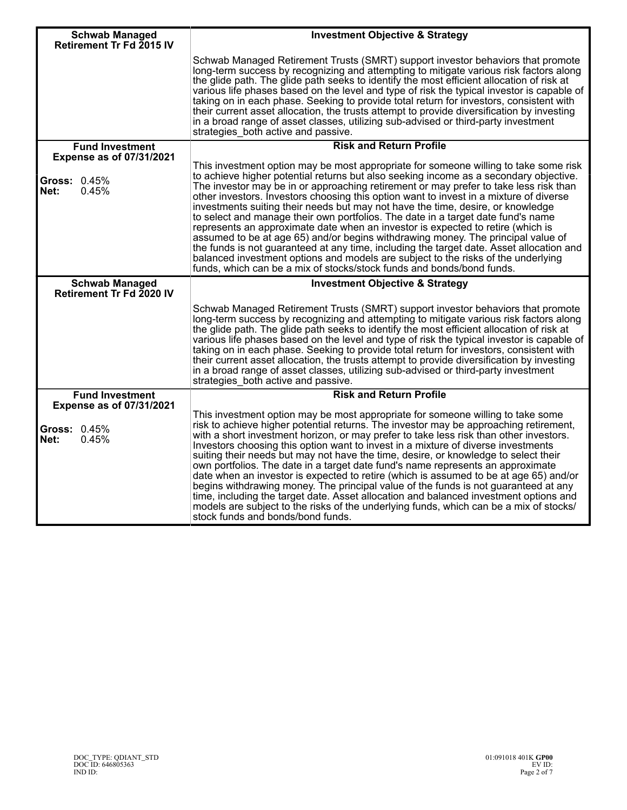| <b>Schwab Managed</b><br><b>Retirement Tr Fd 2015 IV</b>         | <b>Investment Objective &amp; Strategy</b>                                                                                                                                                                                                                                                                                                                                                                                                                                                                                                                                                                                                                                                                                                                                                                                                                                                                                                                               |
|------------------------------------------------------------------|--------------------------------------------------------------------------------------------------------------------------------------------------------------------------------------------------------------------------------------------------------------------------------------------------------------------------------------------------------------------------------------------------------------------------------------------------------------------------------------------------------------------------------------------------------------------------------------------------------------------------------------------------------------------------------------------------------------------------------------------------------------------------------------------------------------------------------------------------------------------------------------------------------------------------------------------------------------------------|
|                                                                  | Schwab Managed Retirement Trusts (SMRT) support investor behaviors that promote<br>long-term success by recognizing and attempting to mitigate various risk factors along<br>the glide path. The glide path seeks to identify the most efficient allocation of risk at<br>various life phases based on the level and type of risk the typical investor is capable of<br>taking on in each phase. Seeking to provide total return for investors, consistent with<br>their current asset allocation, the trusts attempt to provide diversification by investing<br>in a broad range of asset classes, utilizing sub-advised or third-party investment<br>strategies both active and passive.                                                                                                                                                                                                                                                                               |
| <b>Fund Investment</b>                                           | <b>Risk and Return Profile</b>                                                                                                                                                                                                                                                                                                                                                                                                                                                                                                                                                                                                                                                                                                                                                                                                                                                                                                                                           |
| <b>Expense as of 07/31/2021</b>                                  |                                                                                                                                                                                                                                                                                                                                                                                                                                                                                                                                                                                                                                                                                                                                                                                                                                                                                                                                                                          |
| Gross: 0.45%<br>0.45%<br>Net:                                    | This investment option may be most appropriate for someone willing to take some risk<br>to achieve higher potential returns but also seeking income as a secondary objective.<br>The investor may be in or approaching retirement or may prefer to take less risk than<br>other investors. Investors choosing this option want to invest in a mixture of diverse<br>investments suiting their needs but may not have the time, desire, or knowledge<br>to select and manage their own portfolios. The date in a target date fund's name<br>represents an approximate date when an investor is expected to retire (which is<br>assumed to be at age 65) and/or begins withdrawing money. The principal value of<br>the funds is not guaranteed at any time, including the target date. Asset allocation and<br>balanced investment options and models are subject to the risks of the underlying<br>funds, which can be a mix of stocks/stock funds and bonds/bond funds. |
| <b>Schwab Managed</b><br>Retirement Tr Fd 2020 IV                | <b>Investment Objective &amp; Strategy</b>                                                                                                                                                                                                                                                                                                                                                                                                                                                                                                                                                                                                                                                                                                                                                                                                                                                                                                                               |
|                                                                  | Schwab Managed Retirement Trusts (SMRT) support investor behaviors that promote<br>long-term success by recognizing and attempting to mitigate various risk factors along<br>the glide path. The glide path seeks to identify the most efficient allocation of risk at<br>various life phases based on the level and type of risk the typical investor is capable of<br>taking on in each phase. Seeking to provide total return for investors, consistent with<br>their current asset allocation, the trusts attempt to provide diversification by investing<br>in a broad range of asset classes, utilizing sub-advised or third-party investment<br>strategies_both active and passive.                                                                                                                                                                                                                                                                               |
| <b>Fund Investment</b>                                           | <b>Risk and Return Profile</b>                                                                                                                                                                                                                                                                                                                                                                                                                                                                                                                                                                                                                                                                                                                                                                                                                                                                                                                                           |
| <b>Expense as of 07/31/2021</b><br>Gross: 0.45%<br>Net:<br>0.45% | This investment option may be most appropriate for someone willing to take some<br>risk to achieve higher potential returns. The investor may be approaching retirement,<br>with a short investment horizon, or may prefer to take less risk than other investors.<br>Investors choosing this option want to invest in a mixture of diverse investments<br>suiting their needs but may not have the time, desire, or knowledge to select their<br>own portfolios. The date in a target date fund's name represents an approximate<br>date when an investor is expected to retire (which is assumed to be at age 65) and/or<br>begins withdrawing money. The principal value of the funds is not guaranteed at any<br>time, including the target date. Asset allocation and balanced investment options and<br>models are subject to the risks of the underlying funds, which can be a mix of stocks/<br>stock funds and bonds/bond funds.                                |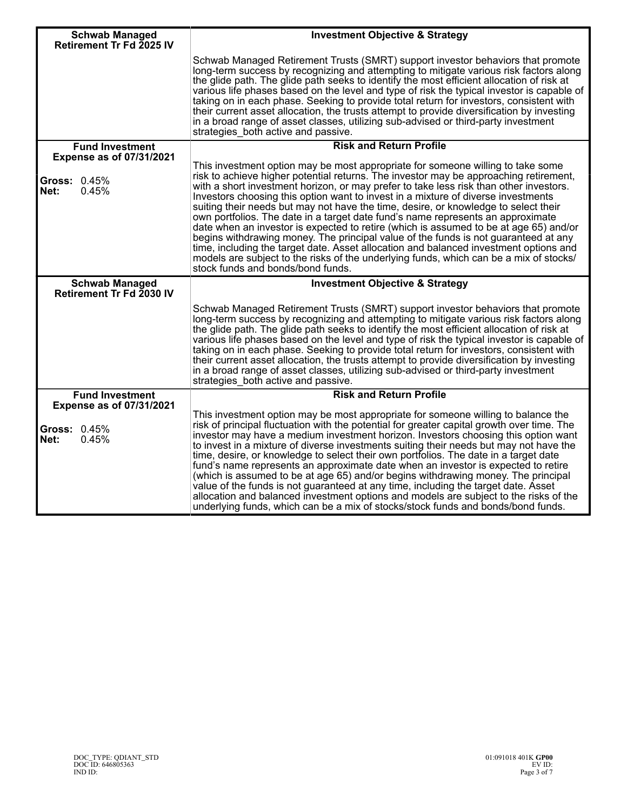| <b>Schwab Managed</b>                                            | <b>Investment Objective &amp; Strategy</b>                                                                                                                                                                                                                                                                                                                                                                                                                                                                                                                                                                                                                                                                                                                                                                                                                                                                                                |
|------------------------------------------------------------------|-------------------------------------------------------------------------------------------------------------------------------------------------------------------------------------------------------------------------------------------------------------------------------------------------------------------------------------------------------------------------------------------------------------------------------------------------------------------------------------------------------------------------------------------------------------------------------------------------------------------------------------------------------------------------------------------------------------------------------------------------------------------------------------------------------------------------------------------------------------------------------------------------------------------------------------------|
| Retirement Tr Fd 2025 IV                                         | Schwab Managed Retirement Trusts (SMRT) support investor behaviors that promote<br>long-term success by recognizing and attempting to mitigate various risk factors along<br>the glide path. The glide path seeks to identify the most efficient allocation of risk at<br>various life phases based on the level and type of risk the typical investor is capable of<br>taking on in each phase. Seeking to provide total return for investors, consistent with<br>their current asset allocation, the trusts attempt to provide diversification by investing<br>in a broad range of asset classes, utilizing sub-advised or third-party investment<br>strategies both active and passive.                                                                                                                                                                                                                                                |
| <b>Fund Investment</b><br><b>Expense as of 07/31/2021</b>        | <b>Risk and Return Profile</b>                                                                                                                                                                                                                                                                                                                                                                                                                                                                                                                                                                                                                                                                                                                                                                                                                                                                                                            |
| Gross: 0.45%<br>Net:<br>0.45%                                    | This investment option may be most appropriate for someone willing to take some<br>risk to achieve higher potential returns. The investor may be approaching retirement,<br>with a short investment horizon, or may prefer to take less risk than other investors.<br>Investors choosing this option want to invest in a mixture of diverse investments<br>suiting their needs but may not have the time, desire, or knowledge to select their<br>own portfolios. The date in a target date fund's name represents an approximate<br>date when an investor is expected to retire (which is assumed to be at age 65) and/or<br>begins withdrawing money. The principal value of the funds is not guaranteed at any<br>time, including the target date. Asset allocation and balanced investment options and<br>models are subject to the risks of the underlying funds, which can be a mix of stocks/<br>stock funds and bonds/bond funds. |
| <b>Schwab Managed</b><br>Retirement Tr Fd 2030 IV                | <b>Investment Objective &amp; Strategy</b>                                                                                                                                                                                                                                                                                                                                                                                                                                                                                                                                                                                                                                                                                                                                                                                                                                                                                                |
|                                                                  | Schwab Managed Retirement Trusts (SMRT) support investor behaviors that promote<br>long-term success by recognizing and attempting to mitigate various risk factors along<br>the glide path. The glide path seeks to identify the most efficient allocation of risk at<br>various life phases based on the level and type of risk the typical investor is capable of<br>taking on in each phase. Seeking to provide total return for investors, consistent with<br>their current asset allocation, the trusts attempt to provide diversification by investing<br>in a broad range of asset classes, utilizing sub-advised or third-party investment<br>strategies_both active and passive.                                                                                                                                                                                                                                                |
| <b>Fund Investment</b>                                           | <b>Risk and Return Profile</b>                                                                                                                                                                                                                                                                                                                                                                                                                                                                                                                                                                                                                                                                                                                                                                                                                                                                                                            |
| <b>Expense as of 07/31/2021</b><br>Gross: 0.45%<br>0.45%<br>Net: | This investment option may be most appropriate for someone willing to balance the<br>risk of principal fluctuation with the potential for greater capital growth over time. The<br>investor may have a medium investment horizon. Investors choosing this option want<br>to invest in a mixture of diverse investments suiting their needs but may not have the<br>time, desire, or knowledge to select their own portfolios. The date in a target date<br>fund's name represents an approximate date when an investor is expected to retire<br>(which is assumed to be at age 65) and/or begins withdrawing money. The principal<br>value of the funds is not guaranteed at any time, including the target date. Asset<br>allocation and balanced investment options and models are subject to the risks of the<br>underlying funds, which can be a mix of stocks/stock funds and bonds/bond funds.                                      |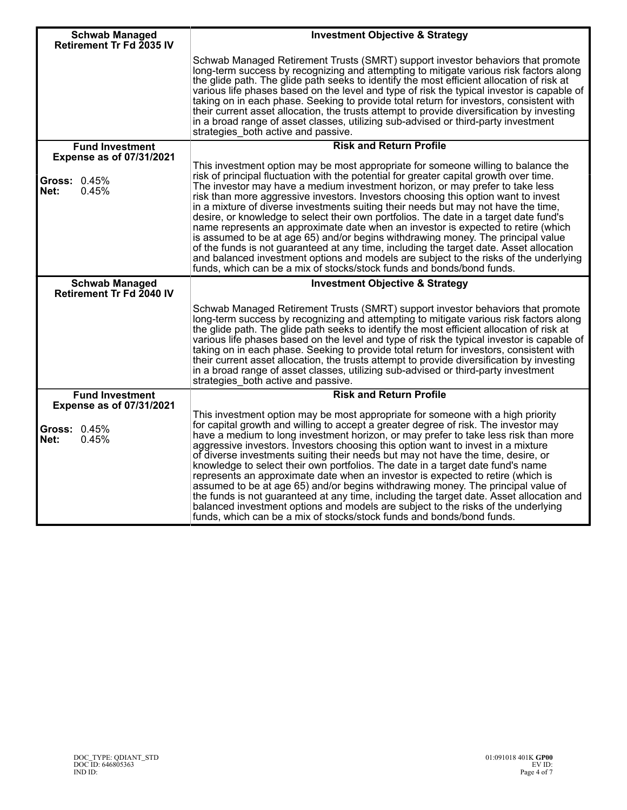| <b>Schwab Managed</b><br>Retirement Tr Fd 2035 IV                       | <b>Investment Objective &amp; Strategy</b>                                                                                                                                                                                                                                                                                                                                                                                                                                                                                                                                                                                                                                                                                                                                                                                                                                       |
|-------------------------------------------------------------------------|----------------------------------------------------------------------------------------------------------------------------------------------------------------------------------------------------------------------------------------------------------------------------------------------------------------------------------------------------------------------------------------------------------------------------------------------------------------------------------------------------------------------------------------------------------------------------------------------------------------------------------------------------------------------------------------------------------------------------------------------------------------------------------------------------------------------------------------------------------------------------------|
|                                                                         | Schwab Managed Retirement Trusts (SMRT) support investor behaviors that promote<br>long-term success by recognizing and attempting to mitigate various risk factors along<br>the glide path. The glide path seeks to identify the most efficient allocation of risk at<br>various life phases based on the level and type of risk the typical investor is capable of<br>taking on in each phase. Seeking to provide total return for investors, consistent with<br>their current asset allocation, the trusts attempt to provide diversification by investing<br>in a broad range of asset classes, utilizing sub-advised or third-party investment<br>strategies both active and passive.                                                                                                                                                                                       |
| <b>Fund Investment</b>                                                  | <b>Risk and Return Profile</b>                                                                                                                                                                                                                                                                                                                                                                                                                                                                                                                                                                                                                                                                                                                                                                                                                                                   |
| <b>Expense as of 07/31/2021</b><br><b>Gross: 0.45%</b><br>0.45%<br>Net: | This investment option may be most appropriate for someone willing to balance the<br>risk of principal fluctuation with the potential for greater capital growth over time.<br>The investor may have a medium investment horizon, or may prefer to take less<br>risk than more aggressive investors. Investors choosing this option want to invest<br>in a mixture of diverse investments suiting their needs but may not have the time,                                                                                                                                                                                                                                                                                                                                                                                                                                         |
|                                                                         | desire, or knowledge to select their own portfolios. The date in a target date fund's<br>name represents an approximate date when an investor is expected to retire (which<br>is assumed to be at age 65) and/or begins withdrawing money. The principal value<br>of the funds is not guaranteed at any time, including the target date. Asset allocation<br>and balanced investment options and models are subject to the risks of the underlying<br>funds, which can be a mix of stocks/stock funds and bonds/bond funds.                                                                                                                                                                                                                                                                                                                                                      |
| <b>Schwab Managed</b><br>Retirement Tr Fd 2040 IV                       | <b>Investment Objective &amp; Strategy</b>                                                                                                                                                                                                                                                                                                                                                                                                                                                                                                                                                                                                                                                                                                                                                                                                                                       |
|                                                                         | Schwab Managed Retirement Trusts (SMRT) support investor behaviors that promote<br>long-term success by recognizing and attempting to mitigate various risk factors along<br>the glide path. The glide path seeks to identify the most efficient allocation of risk at<br>various life phases based on the level and type of risk the typical investor is capable of<br>taking on in each phase. Seeking to provide total return for investors, consistent with<br>their current asset allocation, the trusts attempt to provide diversification by investing<br>in a broad range of asset classes, utilizing sub-advised or third-party investment<br>strategies_both active and passive.                                                                                                                                                                                       |
| <b>Fund Investment</b>                                                  | <b>Risk and Return Profile</b>                                                                                                                                                                                                                                                                                                                                                                                                                                                                                                                                                                                                                                                                                                                                                                                                                                                   |
| <b>Expense as of 07/31/2021</b><br>Gross: 0.45%<br>Net:<br>0.45%        | This investment option may be most appropriate for someone with a high priority<br>for capital growth and willing to accept a greater degree of risk. The investor may<br>have a medium to long investment horizon, or may prefer to take less risk than more<br>aggressive investors. Investors choosing this option want to invest in a mixture<br>of diverse investments suiting their needs but may not have the time, desire, or<br>knowledge to select their own portfolios. The date in a target date fund's name<br>represents an approximate date when an investor is expected to retire (which is<br>assumed to be at age 65) and/or begins withdrawing money. The principal value of<br>the funds is not guaranteed at any time, including the target date. Asset allocation and<br>balanced investment options and models are subject to the risks of the underlying |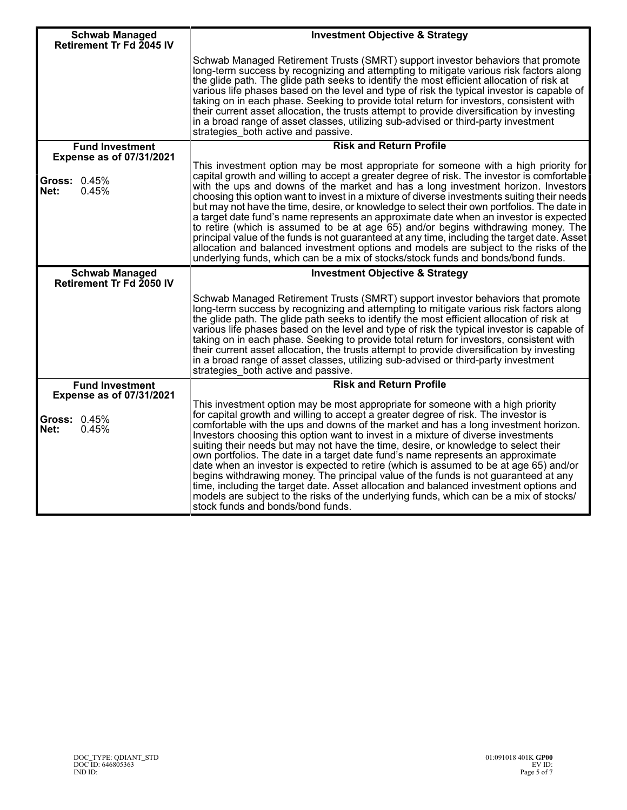| <b>Schwab Managed</b>                                                   | <b>Investment Objective &amp; Strategy</b>                                                                                                                                                                                                                                                                                                                                                                                                                                                                                                                                                                                                                                                                                                                                                                                                                                                                                          |
|-------------------------------------------------------------------------|-------------------------------------------------------------------------------------------------------------------------------------------------------------------------------------------------------------------------------------------------------------------------------------------------------------------------------------------------------------------------------------------------------------------------------------------------------------------------------------------------------------------------------------------------------------------------------------------------------------------------------------------------------------------------------------------------------------------------------------------------------------------------------------------------------------------------------------------------------------------------------------------------------------------------------------|
| Retirement Tr Fd 2045 IV                                                | Schwab Managed Retirement Trusts (SMRT) support investor behaviors that promote<br>long-term success by recognizing and attempting to mitigate various risk factors along<br>the glide path. The glide path seeks to identify the most efficient allocation of risk at<br>various life phases based on the level and type of risk the typical investor is capable of<br>taking on in each phase. Seeking to provide total return for investors, consistent with<br>their current asset allocation, the trusts attempt to provide diversification by investing<br>in a broad range of asset classes, utilizing sub-advised or third-party investment<br>strategies both active and passive.                                                                                                                                                                                                                                          |
| <b>Fund Investment</b>                                                  | <b>Risk and Return Profile</b>                                                                                                                                                                                                                                                                                                                                                                                                                                                                                                                                                                                                                                                                                                                                                                                                                                                                                                      |
| <b>Expense as of 07/31/2021</b><br><b>Gross: 0.45%</b><br>0.45%<br>Net: | This investment option may be most appropriate for someone with a high priority for<br>capital growth and willing to accept a greater degree of risk. The investor is comfortable<br>with the ups and downs of the market and has a long investment horizon. Investors<br>choosing this option want to invest in a mixture of diverse investments suiting their needs<br>but may not have the time, desire, or knowledge to select their own portfolios. The date in<br>a target date fund's name represents an approximate date when an investor is expected<br>to retire (which is assumed to be at age 65) and/or begins withdrawing money. The<br>principal value of the funds is not guaranteed at any time, including the target date. Asset<br>allocation and balanced investment options and models are subject to the risks of the<br>underlying funds, which can be a mix of stocks/stock funds and bonds/bond funds.     |
| <b>Schwab Managed</b><br><b>Retirement Tr Fd 2050 IV</b>                | <b>Investment Objective &amp; Strategy</b>                                                                                                                                                                                                                                                                                                                                                                                                                                                                                                                                                                                                                                                                                                                                                                                                                                                                                          |
|                                                                         | Schwab Managed Retirement Trusts (SMRT) support investor behaviors that promote<br>long-term success by recognizing and attempting to mitigate various risk factors along<br>the glide path. The glide path seeks to identify the most efficient allocation of risk at<br>various life phases based on the level and type of risk the typical investor is capable of<br>taking on in each phase. Seeking to provide total return for investors, consistent with<br>their current asset allocation, the trusts attempt to provide diversification by investing<br>in a broad range of asset classes, utilizing sub-advised or third-party investment<br>strategies both active and passive.                                                                                                                                                                                                                                          |
| <b>Fund Investment</b>                                                  | <b>Risk and Return Profile</b>                                                                                                                                                                                                                                                                                                                                                                                                                                                                                                                                                                                                                                                                                                                                                                                                                                                                                                      |
| <b>Expense as of 07/31/2021</b><br><b>Gross: 0.45%</b><br>Net:<br>0.45% | This investment option may be most appropriate for someone with a high priority<br>for capital growth and willing to accept a greater degree of risk. The investor is<br>comfortable with the ups and downs of the market and has a long investment horizon.<br>Investors choosing this option want to invest in a mixture of diverse investments<br>suiting their needs but may not have the time, desire, or knowledge to select their<br>own portfolios. The date in a target date fund's name represents an approximate<br>date when an investor is expected to retire (which is assumed to be at age 65) and/or<br>begins withdrawing money. The principal value of the funds is not guaranteed at any<br>time, including the target date. Asset allocation and balanced investment options and<br>models are subject to the risks of the underlying funds, which can be a mix of stocks/<br>stock funds and bonds/bond funds. |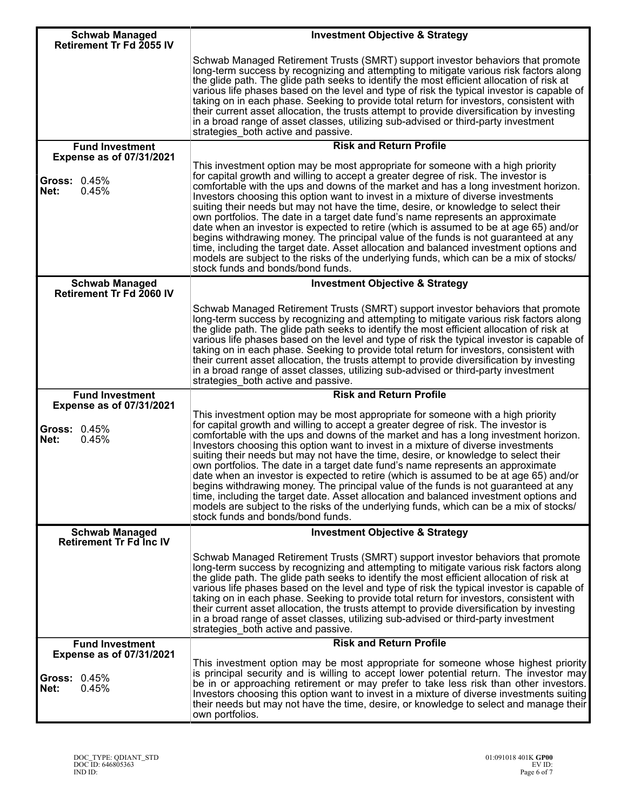| <b>Schwab Managed</b><br>Retirement Tr Fd 2055 IV         | <b>Investment Objective &amp; Strategy</b>                                                                                                                                                                                                                                                                                                                                                                                                                                                                                                                                                                                                                                                                                                                                                                                                                                                                                          |
|-----------------------------------------------------------|-------------------------------------------------------------------------------------------------------------------------------------------------------------------------------------------------------------------------------------------------------------------------------------------------------------------------------------------------------------------------------------------------------------------------------------------------------------------------------------------------------------------------------------------------------------------------------------------------------------------------------------------------------------------------------------------------------------------------------------------------------------------------------------------------------------------------------------------------------------------------------------------------------------------------------------|
|                                                           | Schwab Managed Retirement Trusts (SMRT) support investor behaviors that promote<br>long-term success by recognizing and attempting to mitigate various risk factors along<br>the glide path. The glide path seeks to identify the most efficient allocation of risk at<br>various life phases based on the level and type of risk the typical investor is capable of<br>taking on in each phase. Seeking to provide total return for investors, consistent with<br>their current asset allocation, the trusts attempt to provide diversification by investing<br>in a broad range of asset classes, utilizing sub-advised or third-party investment<br>strategies_both active and passive.                                                                                                                                                                                                                                          |
| <b>Fund Investment</b><br><b>Expense as of 07/31/2021</b> | <b>Risk and Return Profile</b>                                                                                                                                                                                                                                                                                                                                                                                                                                                                                                                                                                                                                                                                                                                                                                                                                                                                                                      |
| <b>Gross: 0.45%</b><br>Net:<br>0.45%                      | This investment option may be most appropriate for someone with a high priority<br>for capital growth and willing to accept a greater degree of risk. The investor is<br>comfortable with the ups and downs of the market and has a long investment horizon.<br>Investors choosing this option want to invest in a mixture of diverse investments<br>suiting their needs but may not have the time, desire, or knowledge to select their<br>own portfolios. The date in a target date fund's name represents an approximate<br>date when an investor is expected to retire (which is assumed to be at age 65) and/or<br>begins withdrawing money. The principal value of the funds is not guaranteed at any<br>time, including the target date. Asset allocation and balanced investment options and<br>models are subject to the risks of the underlying funds, which can be a mix of stocks/<br>stock funds and bonds/bond funds. |
| <b>Schwab Managed</b><br>Retirement Tr Fd 2060 IV         | <b>Investment Objective &amp; Strategy</b>                                                                                                                                                                                                                                                                                                                                                                                                                                                                                                                                                                                                                                                                                                                                                                                                                                                                                          |
|                                                           | Schwab Managed Retirement Trusts (SMRT) support investor behaviors that promote<br>long-term success by recognizing and attempting to mitigate various risk factors along<br>the glide path. The glide path seeks to identify the most efficient allocation of risk at<br>various life phases based on the level and type of risk the typical investor is capable of<br>taking on in each phase. Seeking to provide total return for investors, consistent with<br>their current asset allocation, the trusts attempt to provide diversification by investing<br>in a broad range of asset classes, utilizing sub-advised or third-party investment<br>strategies_both active and passive.                                                                                                                                                                                                                                          |
| <b>Fund Investment</b><br><b>Expense as of 07/31/2021</b> | <b>Risk and Return Profile</b>                                                                                                                                                                                                                                                                                                                                                                                                                                                                                                                                                                                                                                                                                                                                                                                                                                                                                                      |
| <b>Gross: 0.45%</b><br>Net:<br>0.45%                      | This investment option may be most appropriate for someone with a high priority<br>for capital growth and willing to accept a greater degree of risk. The investor is<br>comfortable with the ups and downs of the market and has a long investment horizon.<br>Investors choosing this option want to invest in a mixture of diverse investments<br>suiting their needs but may not have the time, desire, or knowledge to select their<br>own portfolios. The date in a target date fund's name represents an approximate<br>date when an investor is expected to retire (which is assumed to be at age 65) and/or<br>begins withdrawing money. The principal value of the funds is not guaranteed at any<br>time, including the target date. Asset allocation and balanced investment options and<br>models are subject to the risks of the underlying funds, which can be a mix of stocks/<br>stock funds and bonds/bond funds. |
| <b>Schwab Managed</b><br>Retirement Tr Fd Inc IV          | <b>Investment Objective &amp; Strategy</b>                                                                                                                                                                                                                                                                                                                                                                                                                                                                                                                                                                                                                                                                                                                                                                                                                                                                                          |
|                                                           | Schwab Managed Retirement Trusts (SMRT) support investor behaviors that promote<br>long-term success by recognizing and attempting to mitigate various risk factors along<br>the glide path. The glide path seeks to identify the most efficient allocation of risk at<br>various life phases based on the level and type of risk the typical investor is capable of<br>taking on in each phase. Seeking to provide total return for investors, consistent with<br>their current asset allocation, the trusts attempt to provide diversification by investing<br>in a broad range of asset classes, utilizing sub-advised or third-party investment<br>strategies_both active and passive.                                                                                                                                                                                                                                          |
| <b>Fund Investment</b><br><b>Expense as of 07/31/2021</b> | <b>Risk and Return Profile</b>                                                                                                                                                                                                                                                                                                                                                                                                                                                                                                                                                                                                                                                                                                                                                                                                                                                                                                      |
| <b>Gross: 0.45%</b><br>Net:<br>0.45%                      | This investment option may be most appropriate for someone whose highest priority<br>is principal security and is willing to accept lower potential return. The investor may<br>be in or approaching retirement or may prefer to take less risk than other investors.<br>Investors choosing this option want to invest in a mixture of diverse investments suiting<br>their needs but may not have the time, desire, or knowledge to select and manage their<br>own portfolios.                                                                                                                                                                                                                                                                                                                                                                                                                                                     |